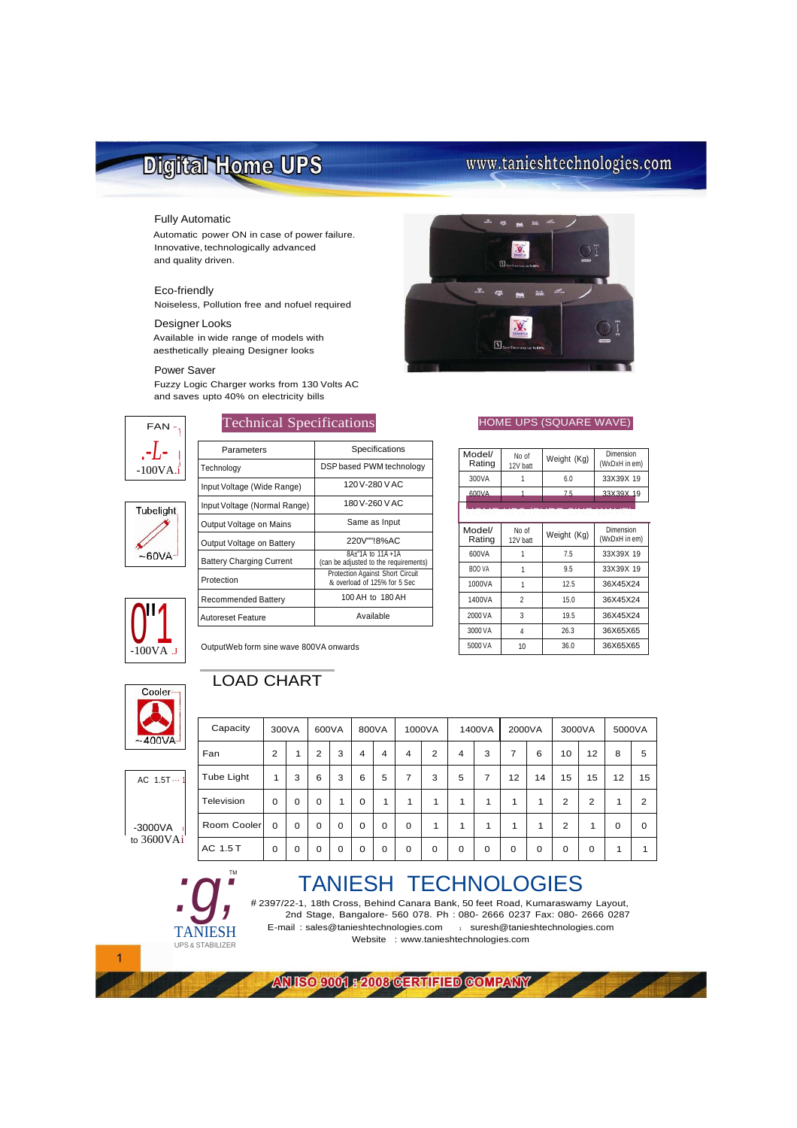# Digital Home UPS

# www.tanieshtechnologies.com

### Fully Automatic

Automatic power ON in case of power failure. Innovative, technologically advanced and quality driven.

### Eco-friendly

Noiseless, Pollution free and nofuel required

### Designer Looks

Available in wide range of models with aesthetically pleaing Designer looks

### Power Saver

Fuzzy Logic Charger works from 130 Volts AC and saves upto 40% on electricity bills



Parameters **Specifications** 



| . .              |                                        |                                                                   |  |  |  |  |
|------------------|----------------------------------------|-------------------------------------------------------------------|--|--|--|--|
| $-100VA$ .i      | Technology                             | DSP based PWM technology                                          |  |  |  |  |
|                  | Input Voltage (Wide Range)             | 120V-280VAC                                                       |  |  |  |  |
| <b>Tubelight</b> | Input Voltage (Normal Range)           | 180V-260VAC                                                       |  |  |  |  |
|                  | Output Voltage on Mains                | Same as Input                                                     |  |  |  |  |
|                  | Output Voltage on Battery              | 220V""!8%AC                                                       |  |  |  |  |
| $-60VA -$        | <b>Battery Charging Current</b>        | 8A+"1A to 11A +1A<br>(can be adjusted to the requirements)        |  |  |  |  |
|                  | Protection                             | Protection Against Short Circuit<br>& overload of 125% for 5 Sec. |  |  |  |  |
|                  | <b>Recommended Battery</b>             | 100 AH to 180 AH                                                  |  |  |  |  |
| -100VA .J        | <b>Autoreset Feature</b>               | Available                                                         |  |  |  |  |
|                  | OutputWeb form sine wave 800VA onwards |                                                                   |  |  |  |  |



 $\mathbf{M}$ **And** 

## Technical Specifications **HOME UPS (SQUARE WAVE)**

| Model/<br>Rating | No of<br>12V batt | Weight (Kg) | Dimension<br>(WxDxH in em) |
|------------------|-------------------|-------------|----------------------------|
| 300VA            |                   | 6.0         | 33X39X 19                  |
| 600VA            |                   | 75          | 33X39X 19                  |
|                  |                   |             |                            |

| Model/<br>Rating | No of<br>12V batt | Weight (Kg) | Dimension<br>(WxDxH in em) |
|------------------|-------------------|-------------|----------------------------|
| 600VA            |                   | 7.5         | 33X39X 19                  |
| BOO VA           |                   | 9.5         | 33X39X 19                  |
| 1000VA           |                   | 12.5        | 36X45X24                   |
| 1400VA           | 2                 | 15.0        | 36X45X24                   |
| 2000 VA          | 3                 | 19.5        | 36X45X24                   |
| 3000 VA          | 4                 | 26.3        | 36X65X65                   |
| 5000 VA          | 10                | 36.0        | 36X65X65                   |



# OutputWeb form sine wave 800VA onwards

# LOAD CHART



 $AC$  1.5T $\cdots$ 

 $-3000VA$ to 3600VAi

*:g;*

TANIESH UPS & STABILIZER

TM

| Capacity    |          | 300VA    | 600VA          |             | 800VA    |                |          | 1000VA         |                | 1400VA | 2000VA |    | 3000VA         |                | 5000VA   |          |
|-------------|----------|----------|----------------|-------------|----------|----------------|----------|----------------|----------------|--------|--------|----|----------------|----------------|----------|----------|
| Fan         | 2        |          | $\overline{2}$ | 3           | 4        | $\overline{4}$ | 4        | $\overline{2}$ | $\overline{4}$ | 3      | 7      | 6  | 10             | 12             | 8        | 5        |
| Tube Light  | 1        | 3        | 6              | 3           | 6        | 5              | 7        | 3              | 5              | 7      | 12     | 14 | 15             | 15             | 12       | 15       |
| Television  | $\Omega$ | 0        | $\mathbf 0$    | 1           | 0        | 1              | 1        | 1              | 1              | 1      | 1      | 1  | $\overline{2}$ | $\overline{2}$ | 1        | 2        |
| Room Cooler | $\Omega$ | $\Omega$ | 0              | $\mathbf 0$ | $\Omega$ | $\Omega$       | $\Omega$ | 1              | 1              | 1      | 1      | 1  | $\overline{2}$ | 1              | $\Omega$ | $\Omega$ |
| AC 1.5 T    | 0        | 0        | $\mathbf 0$    | $\mathbf 0$ | 0        | 0              | 0        | 0              | 0              | 0      | 0      | 0  | 0              | $\Omega$       | 1        | 1        |

# TANIESH TECHNOLOGIES

# 2397/22-1, 18th Cross, Behind Canara Bank, 50 feet Road, Kumaraswamy Layout, 2nd Stage, Bangalore- 560 078. Ph : 080- 2666 0237 Fax: 080- 2666 0287 E-mail : [sales@tanieshtechnologies.com](mailto:sales@tanieshtechnologies.com) 1 [suresh@tanieshtechnologies.com](mailto:suresh@tanieshtechnologies.com) Website : [www.tanieshtechnologies.com](http://www.tanieshtechnologies.com/)



ANISO 9001 : 2003 GERTIFIED GOMPANY